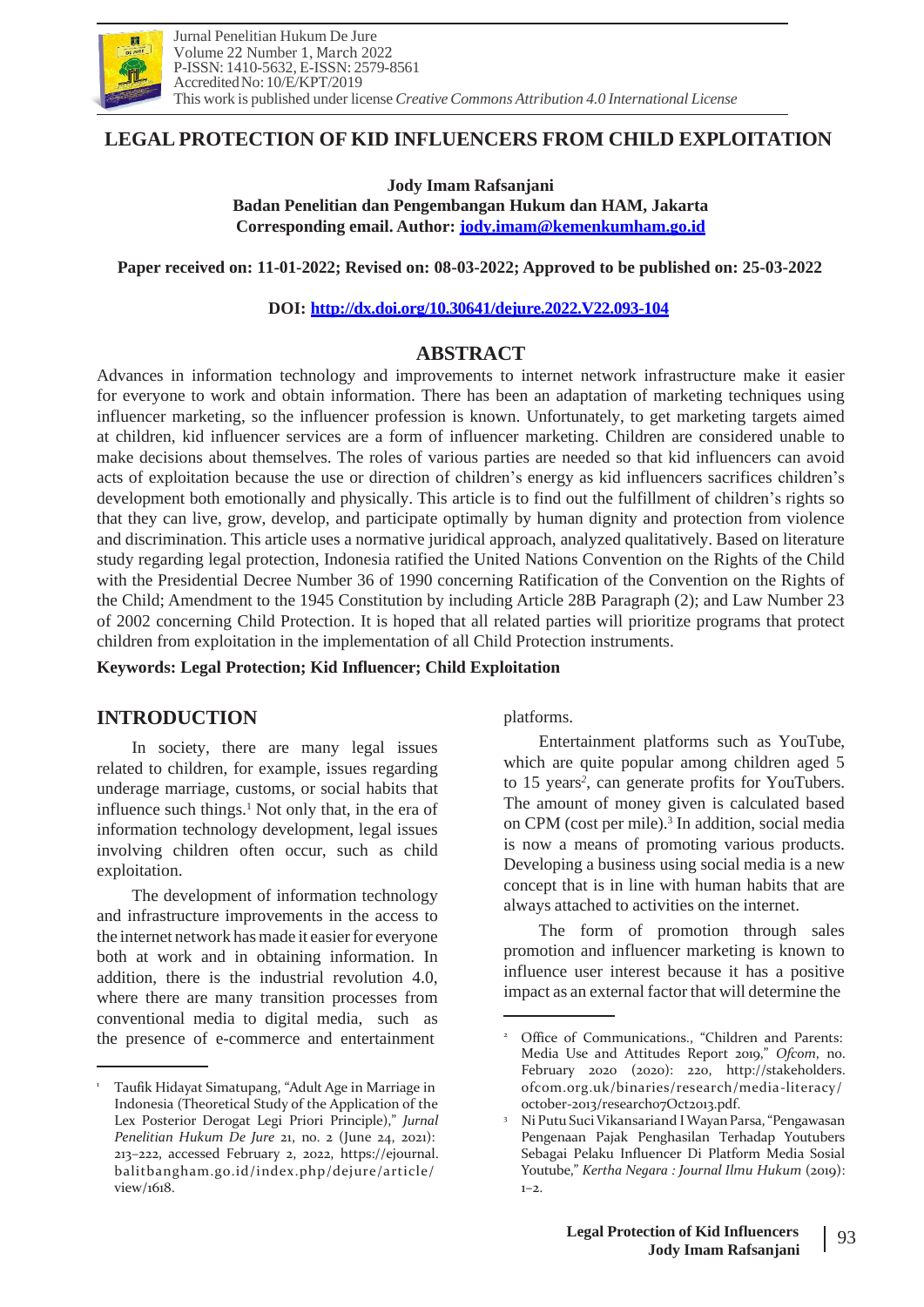

# **LEGAL PROTECTION OF KID INFLUENCERS FROM CHILD EXPLOITATION**

**Jody Imam Rafsanjani Badan Penelitian dan Pengembangan Hukum dan HAM, Jakarta Corresponding email. Author: [jody](mailto:jody.imam@kemenkumham.go.id)[.imam@kemenkumham.go.id](mailto:.imam@kemenkumham.go.id)**

**Paper received on: 11-01-2022; Revised on: 08-03-2022; Approved to be published on: 25-03-2022**

**DOI:<http://dx.doi.org/10.30641/dejure.2022.V22.093-104>**

## **ABSTRACT**

Advances in information technology and improvements to internet network infrastructure make it easier for everyone to work and obtain information. There has been an adaptation of marketing techniques using influencer marketing, so the influencer profession is known. Unfortunately, to get marketing targets aimed at children, kid influencer services are a form of influencer marketing. Children are considered unable to make decisions about themselves. The roles of various parties are needed so that kid influencers can avoid acts of exploitation because the use or direction of children's energy as kid influencers sacrifices children's development both emotionally and physically. This article is to find out the fulfillment of children's rights so that they can live, grow, develop, and participate optimally by human dignity and protection from violence and discrimination. This article uses a normative juridical approach, analyzed qualitatively. Based on literature study regarding legal protection, Indonesia ratified the United Nations Convention on the Rights of the Child with the Presidential Decree Number 36 of 1990 concerning Ratification of the Convention on the Rights of the Child; Amendment to the 1945 Constitution by including Article 28B Paragraph (2); and Law Number 23 of 2002 concerning Child Protection. It is hoped that all related parties will prioritize programs that protect children from exploitation in the implementation of all Child Protection instruments.

**Keywords: Legal Protection; Kid Influencer; Child Exploitation**

# **INTRODUCTION**

In society, there are many legal issues related to children, for example, issues regarding underage marriage, customs, or social habits that influence such things. $<sup>1</sup>$  Not only that, in the era of</sup> information technology development, legal issues involving children often occur, such as child exploitation.

The development of information technology and infrastructure improvements in the access to the internet network has made it easier for everyone both at work and in obtaining information. In addition, there is the industrial revolution 4.0, where there are many transition processes from conventional media to digital media, such as the presence of e-commerce and entertainment

platforms.

Entertainment platforms such as YouTube, which are quite popular among children aged 5 to 15 years*<sup>2</sup>* , can generate profits for YouTubers. The amount of money given is calculated based on CPM (cost per mile).<sup>3</sup> In addition, social media is now a means of promoting various products. Developing a business using social media is a new concept that is in line with human habits that are always attached to activities on the internet.

The form of promotion through sales promotion and influencer marketing is known to influence user interest because it has a positive impact as an external factor that will determine the

<sup>1</sup> Taufik Hidayat Simatupang, "Adult Age in Marriage in Indonesia (Theoretical Study of the Application of the Lex Posterior Derogat Legi Priori Principle)," *Jurnal Penelitian Hukum De Jure* 21, no. 2 (June 24, 2021): 213–222, accessed February 2, 2022, https://ejournal. balitbangham.go.id/index.php/dejure/article/ view/1618.

<sup>&</sup>lt;sup>2</sup> Office of Communications., "Children and Parents: Media Use and Attitudes Report 2019," *Ofcom*, no. February 2020 (2020): 220, [http://stakeholders.](http://stakeholders/) ofcom.org.uk/binaries/research/media-literacy/ october-2013/research07Oct2013.pdf.

<sup>&</sup>lt;sup>3</sup> Ni Putu Suci Vikansariand I Wayan Parsa, "Pengawasan Pengenaan Pajak Penghasilan Terhadap Youtubers Sebagai Pelaku Influencer Di Platform Media Sosial Youtube," *Kertha Negara : Journal Ilmu Hukum* (2019):  $1 - 2$ .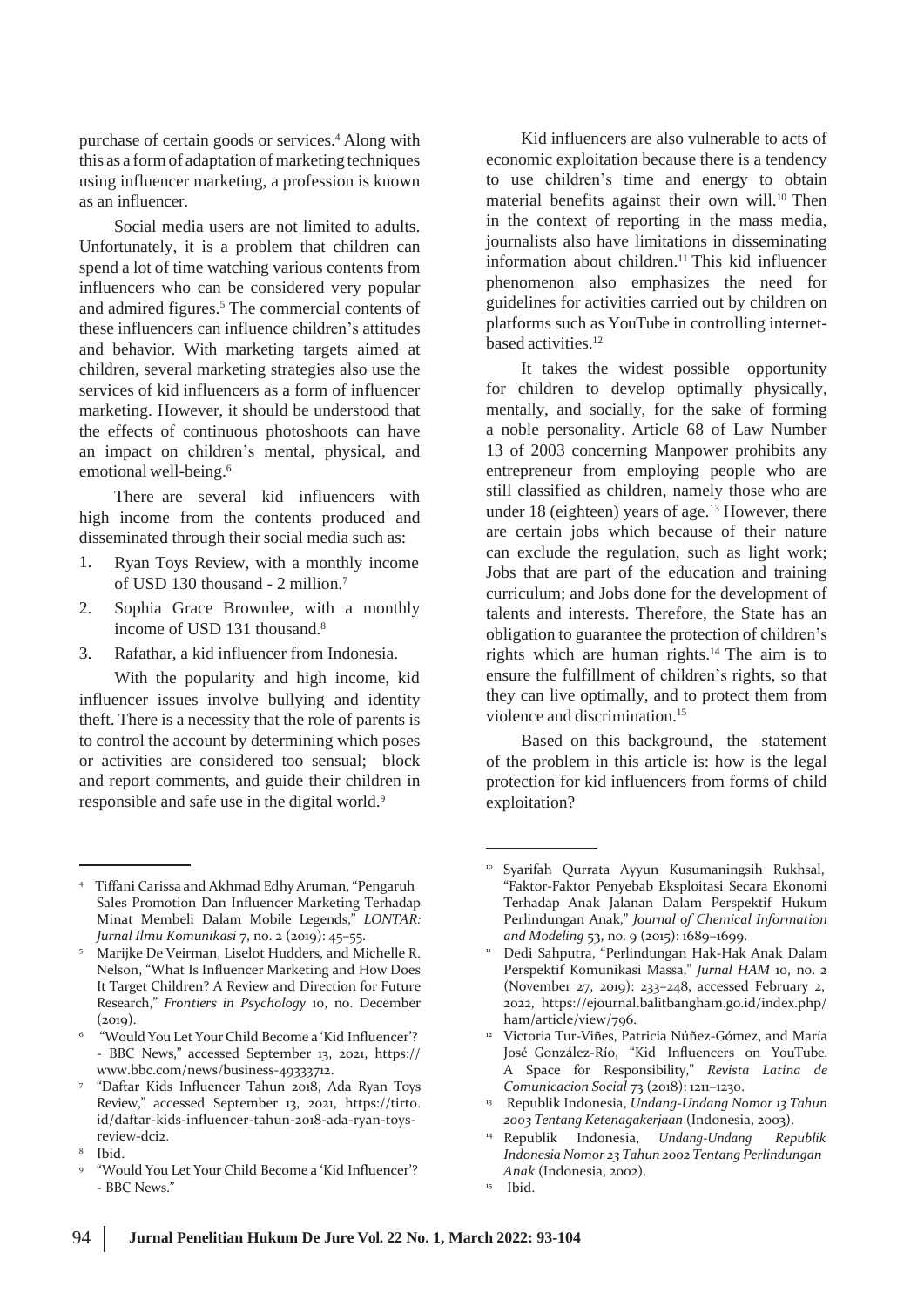purchase of certain goods or services.<sup>4</sup> Along with this as a form of adaptation of marketing techniques using influencer marketing, a profession is known as an influencer.

Social media users are not limited to adults. Unfortunately, it is a problem that children can spend a lot of time watching various contents from influencers who can be considered very popular and admired figures.<sup>5</sup> The commercial contents of these influencers can influence children's attitudes and behavior. With marketing targets aimed at children, several marketing strategies also use the services of kid influencers as a form of influencer marketing. However, it should be understood that the effects of continuous photoshoots can have an impact on children's mental, physical, and emotional well-being.<sup>6</sup>

There are several kid influencers with high income from the contents produced and disseminated through their social media such as:

- 1. Ryan Toys Review, with a monthly income of USD 130 thousand - 2 million.<sup>7</sup>
- 2. Sophia Grace Brownlee, with a monthly income of USD 131 thousand.<sup>8</sup>
- 3. Rafathar, a kid influencer from Indonesia.

With the popularity and high income, kid influencer issues involve bullying and identity theft. There is a necessity that the role of parents is to control the account by determining which poses or activities are considered too sensual; block and report comments, and guide their children in responsible and safe use in the digital world.<sup>9</sup>

Kid influencers are also vulnerable to acts of economic exploitation because there is a tendency to use children's time and energy to obtain material benefits against their own will.<sup>10</sup> Then in the context of reporting in the mass media, journalists also have limitations in disseminating information about children.<sup>11</sup> This kid influencer phenomenon also emphasizes the need for guidelines for activities carried out by children on platforms such as YouTube in controlling internetbased activities.<sup>12</sup>

It takes the widest possible opportunity for children to develop optimally physically, mentally, and socially, for the sake of forming a noble personality. Article 68 of Law Number 13 of 2003 concerning Manpower prohibits any entrepreneur from employing people who are still classified as children, namely those who are under 18 (eighteen) years of age. $13$  However, there are certain jobs which because of their nature can exclude the regulation, such as light work; Jobs that are part of the education and training curriculum; and Jobs done for the development of talents and interests. Therefore, the State has an obligation to guarantee the protection of children's rights which are human rights.<sup>14</sup> The aim is to ensure the fulfillment of children's rights, so that they can live optimally, and to protect them from violence and discrimination.<sup>15</sup>

Based on this background, the statement of the problem in this article is: how is the legal protection for kid influencers from forms of child exploitation?

<sup>4</sup> Tiffani Carissa and Akhmad EdhyAruman, "Pengaruh Sales Promotion Dan Influencer Marketing Terhadap Minat Membeli Dalam Mobile Legends," *LONTAR: Jurnal Ilmu Komunikasi* 7, no. 2 (2019): 45–55.

<sup>&</sup>lt;sup>5</sup> Marijke De Veirman, Liselot Hudders, and Michelle R. Nelson, "What Is Influencer Marketing and How Does It Target Children? A Review and Direction for Future Research," *Frontiers in Psychology* 10, no. December  $(2019)$ .

<sup>&</sup>lt;sup>6</sup> "Would You Let Your Child Become a 'Kid Influencer'? - BBC News," accessed September 13, 2021, https:/[/](http://www.bbc.com/news/business-49333712) [www.bbc.com/news/business-49333712.](http://www.bbc.com/news/business-49333712)

<sup>&</sup>quot;Daftar Kids Influencer Tahun 2018, Ada Ryan Toys 7 Review," accessed September 13, 2021, https://tirto. id/daftar-kids-influencer-tahun-2018-ada-ryan-toysreview-dci2.

<sup>&</sup>lt;sup>8</sup> Ibid.

<sup>&</sup>quot;Would You Let Your Child Become a 'Kid Influencer'? - BBC News." 9

<sup>10</sup> Syarifah Qurrata Ayyun Kusumaningsih Rukhsal, "Faktor-Faktor Penyebab Eksploitasi Secara Ekonomi Terhadap Anak Jalanan Dalam Perspektif Hukum Perlindungan Anak," *Journal of Chemical Information and Modeling* 53, no. 9 (2015): 1689–1699.

Dedi Sahputra, "Perlindungan Hak-Hak Anak Dalam Perspektif Komunikasi Massa," *Jurnal HAM* 10, no. 2 (November 27, 2019): 233–248, accessed February 2, 2022, https://ejournal.balitbangham.go.id/index.php/ ham/article/view/796.

<sup>&</sup>lt;sup>12</sup> Victoria Tur-Viñes, Patricia Núñez-Gómez, and María José González-Río, "Kid Influencers on YouTube. A Space for Responsibility," *Revista Latina de Comunicacion Social* 73 (2018): 1211–1230.

Republik Indonesia, *Undang-Undang Nomor 13 Tahun* 13 *2003 Tentang Ketenagakerjaan* (Indonesia, 2003).

<sup>14</sup> Republik Indonesia, *Undang-Undang Republik Indonesia Nomor 23 Tahun 2002 Tentang Perlindungan Anak* (Indonesia, 2002).

Ibid. 15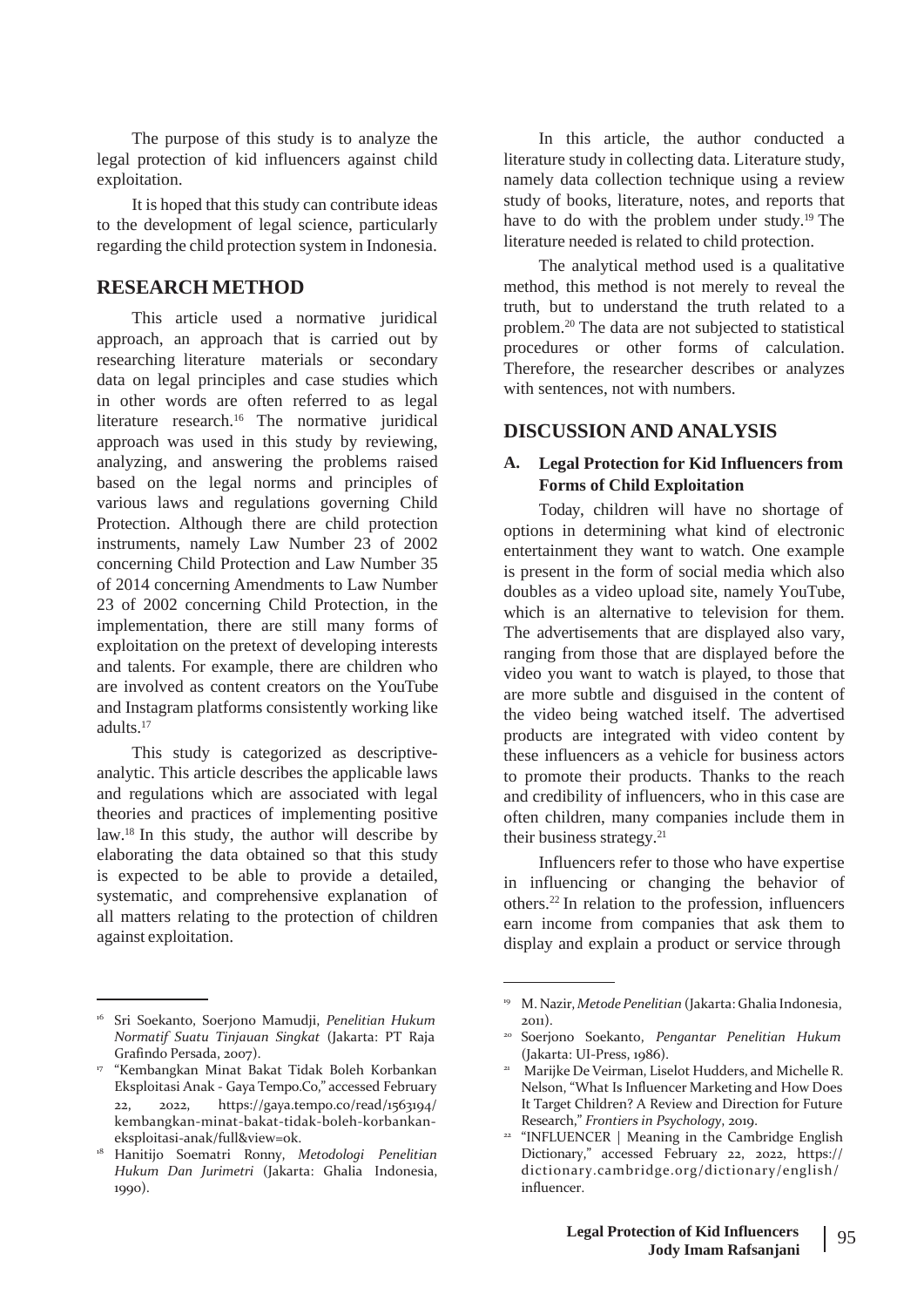The purpose of this study is to analyze the legal protection of kid influencers against child exploitation.

It is hoped that this study can contribute ideas to the development of legal science, particularly regarding the child protection system in Indonesia.

#### **RESEARCH METHOD**

This article used a normative juridical approach, an approach that is carried out by researching literature materials or secondary data on legal principles and case studies which in other words are often referred to as legal literature research.<sup>16</sup> The normative juridical approach was used in this study by reviewing, analyzing, and answering the problems raised based on the legal norms and principles of various laws and regulations governing Child Protection. Although there are child protection instruments, namely Law Number 23 of 2002 concerning Child Protection and Law Number 35 of 2014 concerning Amendments to Law Number 23 of 2002 concerning Child Protection, in the implementation, there are still many forms of exploitation on the pretext of developing interests and talents. For example, there are children who are involved as content creators on the YouTube and Instagram platforms consistently working like adults.<sup>17</sup>

This study is categorized as descriptiveanalytic. This article describes the applicable laws and regulations which are associated with legal theories and practices of implementing positive law.<sup>18</sup> In this study, the author will describe by elaborating the data obtained so that this study is expected to be able to provide a detailed, systematic, and comprehensive explanation of all matters relating to the protection of children against exploitation.

In this article, the author conducted a literature study in collecting data. Literature study, namely data collection technique using a review study of books, literature, notes, and reports that have to do with the problem under study.<sup>19</sup> The literature needed is related to child protection.

The analytical method used is a qualitative method, this method is not merely to reveal the truth, but to understand the truth related to a problem.<sup>20</sup> The data are not subjected to statistical procedures or other forms of calculation. Therefore, the researcher describes or analyzes with sentences, not with numbers.

#### **DISCUSSION AND ANALYSIS**

#### **A. Legal Protection for Kid Influencers from Forms of Child Exploitation**

Today, children will have no shortage of options in determining what kind of electronic entertainment they want to watch. One example is present in the form of social media which also doubles as a video upload site, namely YouTube, which is an alternative to television for them. The advertisements that are displayed also vary, ranging from those that are displayed before the video you want to watch is played, to those that are more subtle and disguised in the content of the video being watched itself. The advertised products are integrated with video content by these influencers as a vehicle for business actors to promote their products. Thanks to the reach and credibility of influencers, who in this case are often children, many companies include them in their business strategy.<sup>21</sup>

Influencers refer to those who have expertise in influencing or changing the behavior of others.<sup>22</sup> In relation to the profession, influencers earn income from companies that ask them to display and explain a product or service through

<sup>16</sup> Sri Soekanto, Soerjono Mamudji, *Penelitian Hukum Normatif Suatu Tinjauan Singkat* (Jakarta: PT Raja Grafindo Persada, 2007).

<sup>&</sup>quot;Kembangkan Minat Bakat Tidak Boleh Korbankan 17 21 Eksploitasi Anak - Gaya Tempo.Co," accessed February 22, 2022, https://gaya.tempo.co/read/1563194/ kembangkan-minat-bakat-tidak-boleh-korbankaneksploitasi-anak/full&view=ok. <sup>22</sup>

<sup>18</sup> Hanitijo Soematri Ronny, *Metodologi Penelitian Hukum Dan Jurimetri* (Jakarta: Ghalia Indonesia, 1990).

<sup>19</sup> M. Nazir, *Metode Penelitian* (Jakarta: Ghalia Indonesia, 2011).

<sup>&</sup>lt;sup>20</sup> Soerjono Soekanto, Pengantar Penelitian Hukum (Jakarta: UI-Press, 1986).

<sup>&</sup>lt;sup>21</sup> Marijke De Veirman, Liselot Hudders, and Michelle R. Nelson, "What Is Influencer Marketing and How Does It Target Children? A Review and Direction for Future Research," *Frontiers in Psychology*, 2019.

<sup>&</sup>lt;sup>22</sup> "INFLUENCER | Meaning in the Cambridge English Dictionary," accessed February 22, 2022, https:// dictionary.cambridge.org/dictionary/english/ influencer.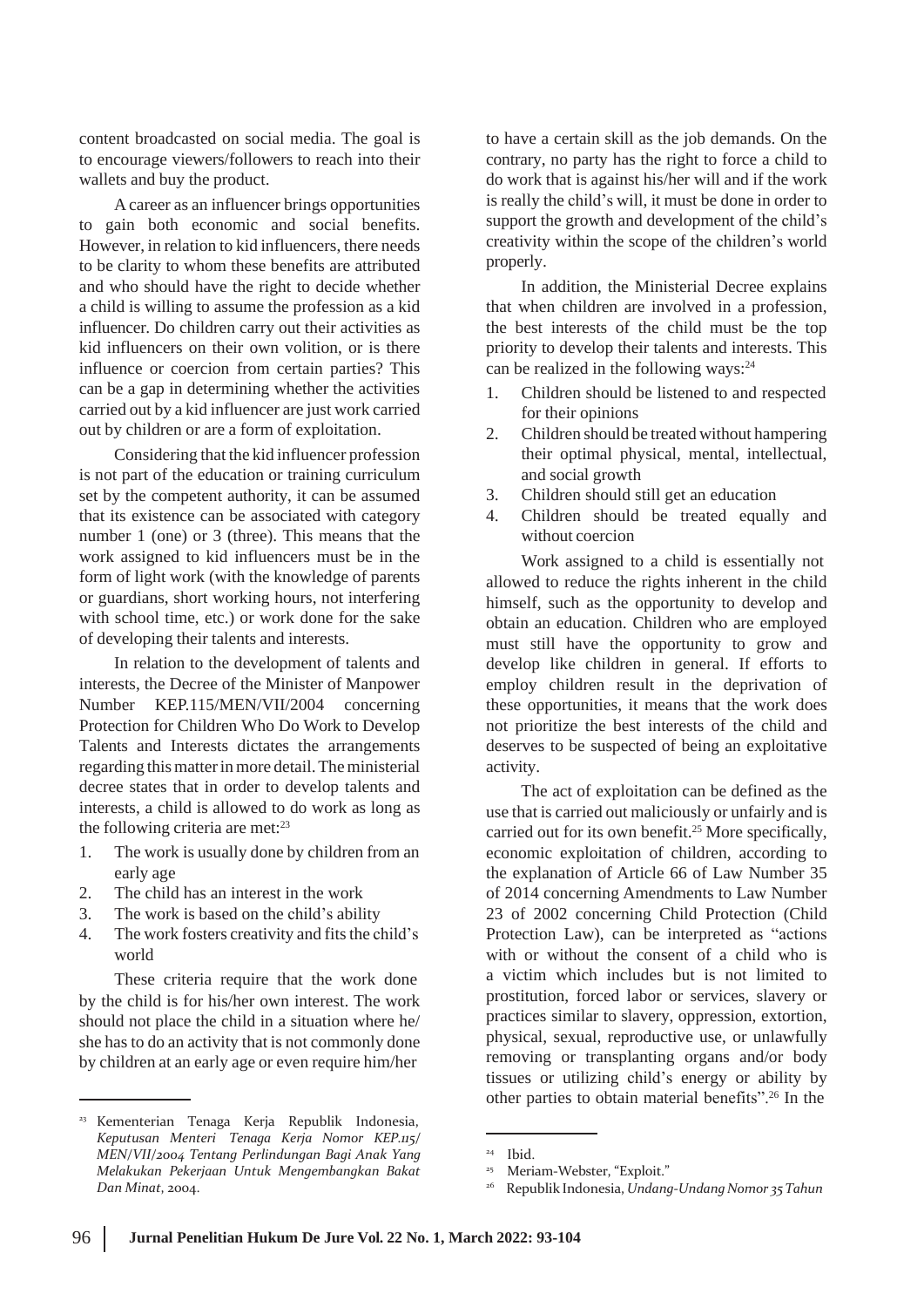content broadcasted on social media. The goal is to encourage viewers/followers to reach into their wallets and buy the product.

A career as an influencer brings opportunities to gain both economic and social benefits. However, in relation to kid influencers, there needs to be clarity to whom these benefits are attributed and who should have the right to decide whether a child is willing to assume the profession as a kid influencer. Do children carry out their activities as kid influencers on their own volition, or is there influence or coercion from certain parties? This can be a gap in determining whether the activities carried out by a kid influencer are just work carried out by children or are a form of exploitation.

Considering that the kid influencer profession is not part of the education or training curriculum set by the competent authority, it can be assumed that its existence can be associated with category number 1 (one) or 3 (three). This means that the work assigned to kid influencers must be in the form of light work (with the knowledge of parents or guardians, short working hours, not interfering with school time, etc.) or work done for the sake of developing their talents and interests.

In relation to the development of talents and interests, the Decree of the Minister of Manpower Number KEP.115/MEN/VII/2004 concerning Protection for Children Who Do Work to Develop Talents and Interests dictates the arrangements regarding this matter in more detail. The ministerial decree states that in order to develop talents and interests, a child is allowed to do work as long as the following criteria are met:<sup>23</sup>

- 1. The work is usually done by children from an early age
- The child has an interest in the work 2.
- The work is based on the child's ability 3.
- The work fosters creativity and fits the child's world 4.

These criteria require that the work done by the child is for his/her own interest. The work should not place the child in a situation where he/ she has to do an activity that is not commonly done by children at an early age or even require him/her

to have a certain skill as the job demands. On the contrary, no party has the right to force a child to do work that is against his/her will and if the work is really the child's will, it must be done in order to support the growth and development of the child's creativity within the scope of the children's world properly.

In addition, the Ministerial Decree explains that when children are involved in a profession, the best interests of the child must be the top priority to develop their talents and interests. This can be realized in the following ways:<sup>24</sup>

- 1. Children should be listened to and respected for their opinions
- Children should be treated without hampering their optimal physical, mental, intellectual, and social growth 2.
- Children should still get an education 3.
- Children should be treated equally and without coercion 4.

Work assigned to a child is essentially not allowed to reduce the rights inherent in the child himself, such as the opportunity to develop and obtain an education. Children who are employed must still have the opportunity to grow and develop like children in general. If efforts to employ children result in the deprivation of these opportunities, it means that the work does not prioritize the best interests of the child and deserves to be suspected of being an exploitative activity.

The act of exploitation can be defined as the use that is carried out maliciously or unfairly and is carried out for its own benefit.<sup>25</sup> More specifically, economic exploitation of children, according to the explanation of Article 66 of Law Number 35 of 2014 concerning Amendments to Law Number 23 of 2002 concerning Child Protection (Child Protection Law), can be interpreted as "actions with or without the consent of a child who is a victim which includes but is not limited to prostitution, forced labor or services, slavery or practices similar to slavery, oppression, extortion, physical, sexual, reproductive use, or unlawfully removing or transplanting organs and/or body tissues or utilizing child's energy or ability by other parties to obtain material benefits".<sup>26</sup> In the

<sup>&</sup>lt;sup>23</sup> Kementerian Tenaga Kerja Republik Indonesia, *Keputusan Menteri Tenaga Kerja Nomor KEP.115/ MEN/VII/2004 Tentang Perlindungan Bagi Anak Yang Melakukan Pekerjaan Untuk Mengembangkan Bakat Dan Minat*, 2004.

<sup>24</sup> Ibid.

Meriam-Webster, "Exploit." 25

Republik Indonesia, *Undang-UndangNomor 35Tahun* 26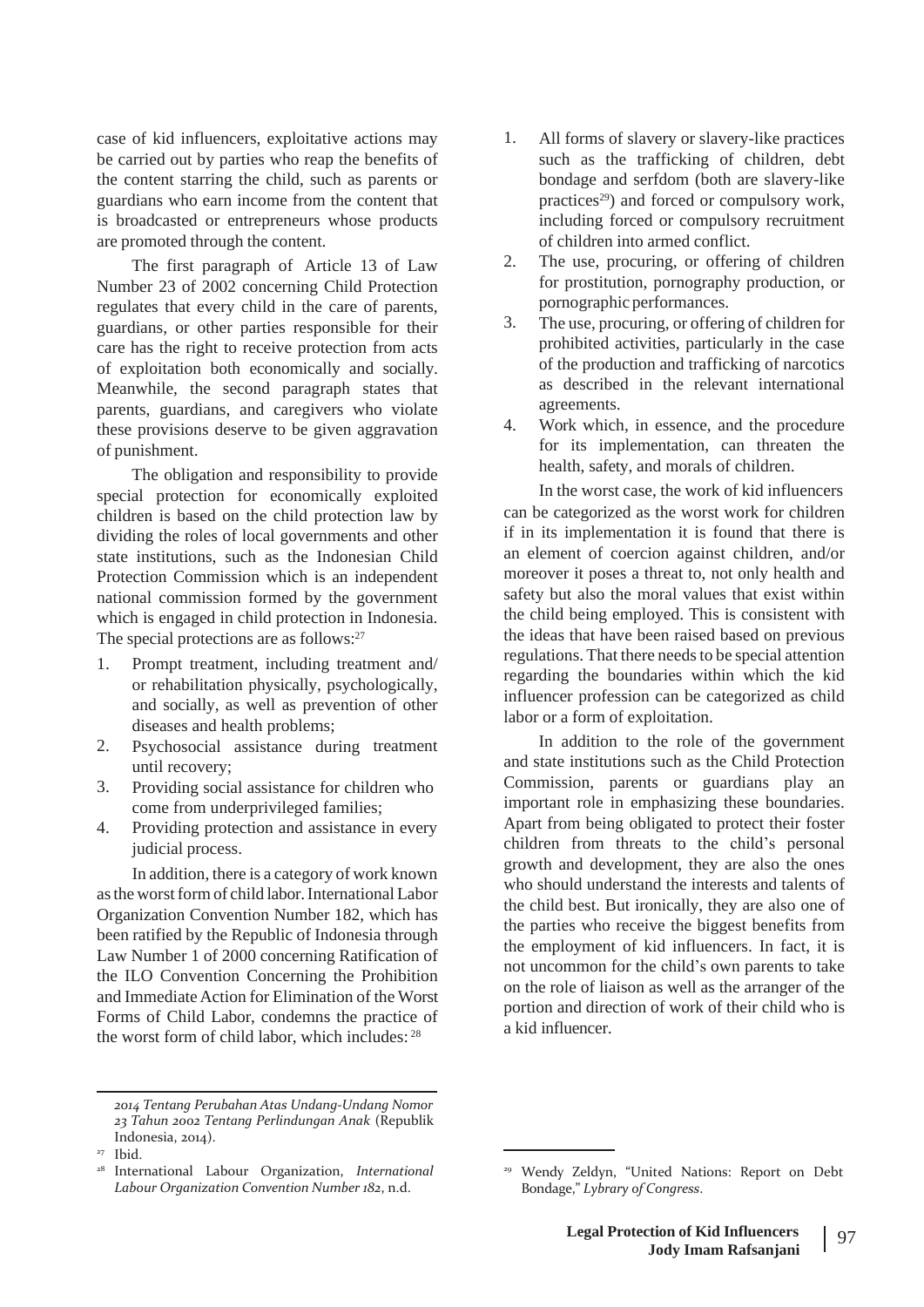case of kid influencers, exploitative actions may be carried out by parties who reap the benefits of the content starring the child, such as parents or guardians who earn income from the content that is broadcasted or entrepreneurs whose products are promoted through the content.

The first paragraph of Article 13 of Law Number 23 of 2002 concerning Child Protection regulates that every child in the care of parents, guardians, or other parties responsible for their care has the right to receive protection from acts of exploitation both economically and socially. Meanwhile, the second paragraph states that parents, guardians, and caregivers who violate these provisions deserve to be given aggravation of punishment.

The obligation and responsibility to provide special protection for economically exploited children is based on the child protection law by dividing the roles of local governments and other state institutions, such as the Indonesian Child Protection Commission which is an independent national commission formed by the government which is engaged in child protection in Indonesia. The special protections are as follows:<sup>27</sup>

- 1. Prompt treatment, including treatment and/ or rehabilitation physically, psychologically, and socially, as well as prevention of other diseases and health problems;
- 2. Psychosocial assistance during treatment until recovery;
- 3. Providing social assistance for children who come from underprivileged families;
- Providing protection and assistance in every judicial process. 4.

In addition, there is a category of work known as the worst form of child labor. International Labor Organization Convention Number 182, which has been ratified by the Republic of Indonesia through Law Number 1 of 2000 concerning Ratification of the ILO Convention Concerning the Prohibition and Immediate Action for Elimination of the Worst Forms of Child Labor, condemns the practice of the worst form of child labor, which includes: <sup>28</sup>

- 1. All forms of slavery or slavery-like practices such as the trafficking of children, debt bondage and serfdom (both are slavery-like practices<sup>29</sup>) and forced or compulsory work, including forced or compulsory recruitment of children into armed conflict.
- The use, procuring, or offering of children for prostitution, pornography production, or pornographic performances. 2.
- The use, procuring, or offering of children for prohibited activities, particularly in the case of the production and trafficking of narcotics as described in the relevant international agreements. 3.
- Work which, in essence, and the procedure for its implementation, can threaten the health, safety, and morals of children. 4.

In the worst case, the work of kid influencers can be categorized as the worst work for children if in its implementation it is found that there is an element of coercion against children, and/or moreover it poses a threat to, not only health and safety but also the moral values that exist within the child being employed. This is consistent with the ideas that have been raised based on previous regulations. That there needs to be special attention regarding the boundaries within which the kid influencer profession can be categorized as child labor or a form of exploitation.

In addition to the role of the government and state institutions such as the Child Protection Commission, parents or guardians play an important role in emphasizing these boundaries. Apart from being obligated to protect their foster children from threats to the child's personal growth and development, they are also the ones who should understand the interests and talents of the child best. But ironically, they are also one of the parties who receive the biggest benefits from the employment of kid influencers. In fact, it is not uncommon for the child's own parents to take on the role of liaison as well as the arranger of the portion and direction of work of their child who is a kid influencer.

*<sup>2014</sup> Tentang Perubahan Atas Undang-Undang Nomor 23 Tahun 2002 Tentang Perlindungan Anak* (Republik Indonesia, 2014).

<sup>&</sup>lt;sup>27</sup> Ibid.

<sup>&</sup>lt;sup>28</sup> International Labour Organization, *International Labour Organization Convention Number 182*, n.d.

<sup>28</sup> <sup>29</sup> Wendy Zeldyn, "United Nations: Report on Debt Bondage," *Lybrary of Congress*.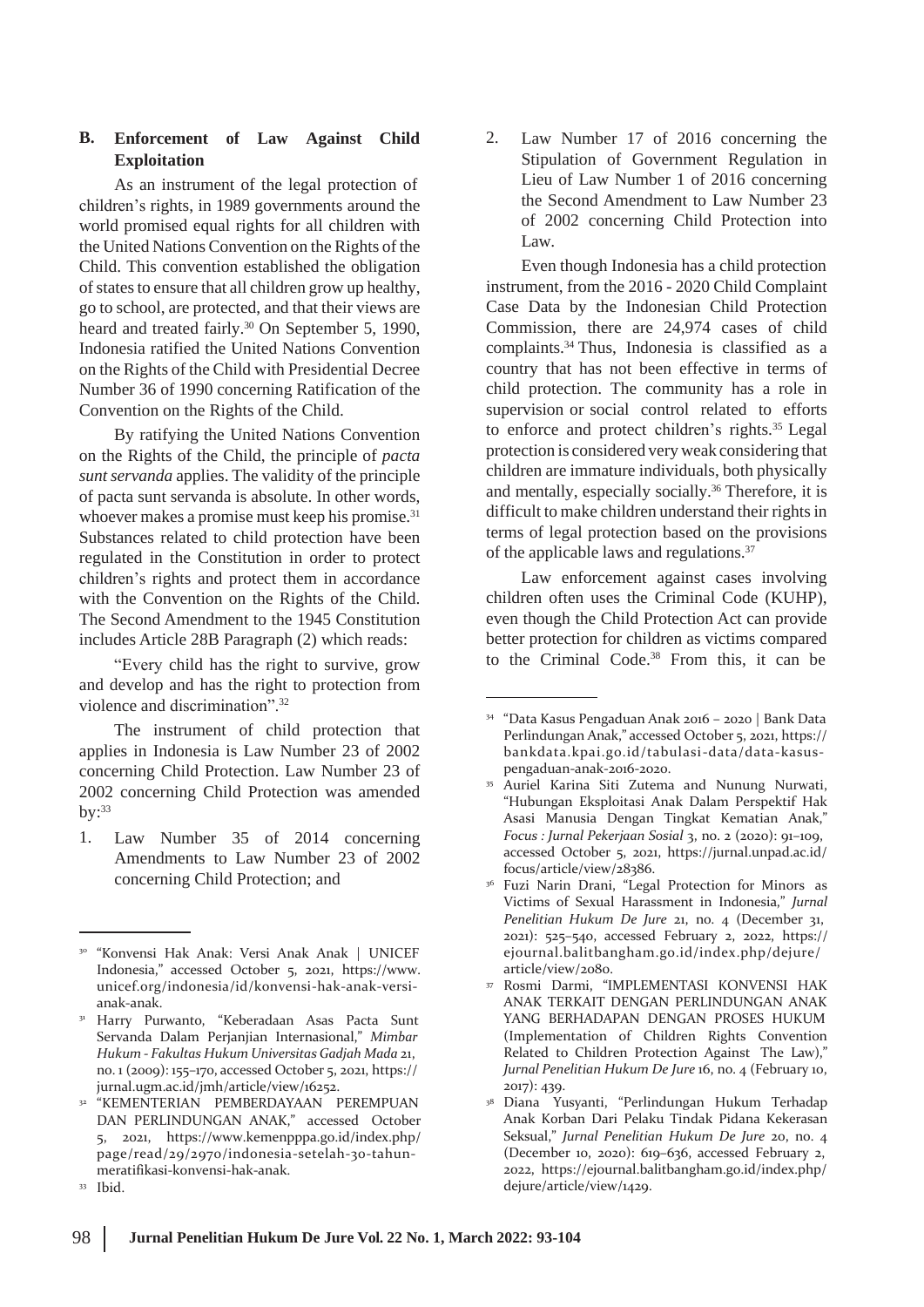# **B. Enforcement of Law Against Child Exploitation**

As an instrument of the legal protection of children's rights, in 1989 governments around the world promised equal rights for all children with the United Nations Convention on the Rights of the Child. This convention established the obligation of states to ensure that all children grow up healthy, go to school, are protected, and that their views are heard and treated fairly.<sup>30</sup> On September 5, 1990, Indonesia ratified the United Nations Convention on the Rights of the Child with Presidential Decree Number 36 of 1990 concerning Ratification of the Convention on the Rights of the Child.

By ratifying the United Nations Convention on the Rights of the Child, the principle of *pacta sunt servanda* applies. The validity of the principle of pacta sunt servanda is absolute. In other words, whoever makes a promise must keep his promise.<sup>31</sup> Substances related to child protection have been regulated in the Constitution in order to protect children's rights and protect them in accordance with the Convention on the Rights of the Child. The Second Amendment to the 1945 Constitution includes Article 28B Paragraph (2) which reads:

"Every child has the right to survive, grow and develop and has the right to protection from violence and discrimination".<sup>32</sup>

The instrument of child protection that applies in Indonesia is Law Number 23 of 2002 concerning Child Protection. Law Number 23 of 2002 concerning Child Protection was amended  $by:33$ 

1. Law Number 35 of 2014 concerning Amendments to Law Number 23 of 2002 concerning Child Protection; and

2. Law Number 17 of 2016 concerning the Stipulation of Government Regulation in Lieu of Law Number 1 of 2016 concerning the Second Amendment to Law Number 23 of 2002 concerning Child Protection into Law.

Even though Indonesia has a child protection instrument, from the 2016 - 2020 Child Complaint Case Data by the Indonesian Child Protection Commission, there are 24,974 cases of child complaints.<sup>34</sup> Thus, Indonesia is classified as a country that has not been effective in terms of child protection. The community has a role in supervision or social control related to efforts to enforce and protect children's rights.<sup>35</sup> Legal protection is considered very weak considering that children are immature individuals, both physically and mentally, especially socially.<sup>36</sup> Therefore, it is difficult to make children understand their rights in terms of legal protection based on the provisions of the applicable laws and regulations.<sup>37</sup>

Law enforcement against cases involving children often uses the Criminal Code (KUHP), even though the Child Protection Act can provide better protection for children as victims compared to the Criminal Code.38 From this, it can be

<sup>30</sup> "Konvensi Hak Anak: Versi Anak Anak | UNICEF Indonesia," accessed October 5, 2021, h[ttps://ww](http://www/)w. unicef.org/indonesia/id/konvensi-hak-anak-versianak-anak.

Harry Purwanto, "Keberadaan Asas Pacta Sunt Servanda Dalam Perjanjian Internasional," *Mimbar Hukum - Fakultas Hukum Universitas Gadjah Mada* 21, no. 1 (2009): 155–170, accessed October 5, 2021, https:// jurnal.ugm.ac.id/jmh/article/view/16252. 31

<sup>&</sup>lt;sup>32</sup> "KEMENTERIAN PEMBERDAYAAN PEREMPUAN <sup>38</sup> DAN PERLINDUNGAN ANAK," accessed October 5, 2021, h[ttps://ww](http://www.kemenpppa.go.id/index.php/)w.[kemenpppa.go.id/index.php/](http://www.kemenpppa.go.id/index.php/) page/read/29/2970/indonesia-setelah-30-tahunmeratifikasi-konvensi-hak-anak.

<sup>&</sup>lt;sup>33</sup> Ibid.

<sup>34</sup> "Data Kasus Pengaduan Anak 2016 – 2020 | Bank Data Perlindungan Anak," accessed October 5, 2021, https:// bankdata.kpai.go.id/tabulasi-data/data-kasuspengaduan-anak-2016-2020.

Auriel Karina Siti Zutema and Nunung Nurwati, "Hubungan Eksploitasi Anak Dalam Perspektif Hak Asasi Manusia Dengan Tingkat Kematian Anak," *Focus : Jurnal Pekerjaan Sosial* 3, no. 2 (2020): 91–109, accessed October 5, 2021, https://jurnal.unpad.ac.id/ focus/article/view/28386. 35

<sup>&</sup>lt;sup>36</sup> Fuzi Narin Drani, "Legal Protection for Minors as Victims of Sexual Harassment in Indonesia," *Jurnal Penelitian Hukum De Jure* 21, no. 4 (December 31, 2021): 525–540, accessed February 2, 2022, https:// ejournal.balitbangham.go.id/index.php/dejure/ article/view/2080.

Rosmi Darmi, "IMPLEMENTASI KONVENSI HAK ANAK TERKAIT DENGAN PERLINDUNGAN ANAK YANG BERHADAPAN DENGAN PROSES HUKUM (Implementation of Children Rights Convention Related to Children Protection Against The Law)," *Jurnal Penelitian Hukum De Jure* 16, no. 4 (February 10, 2017): 439. 37

Diana Yusyanti, "Perlindungan Hukum Terhadap Anak Korban Dari Pelaku Tindak Pidana Kekerasan Seksual," *Jurnal Penelitian Hukum De Jure* 20, no. 4 (December 10, 2020): 619–636, accessed February 2, 2022, https://ejournal.balitbangham.go.id/index.php/ dejure/article/view/1429.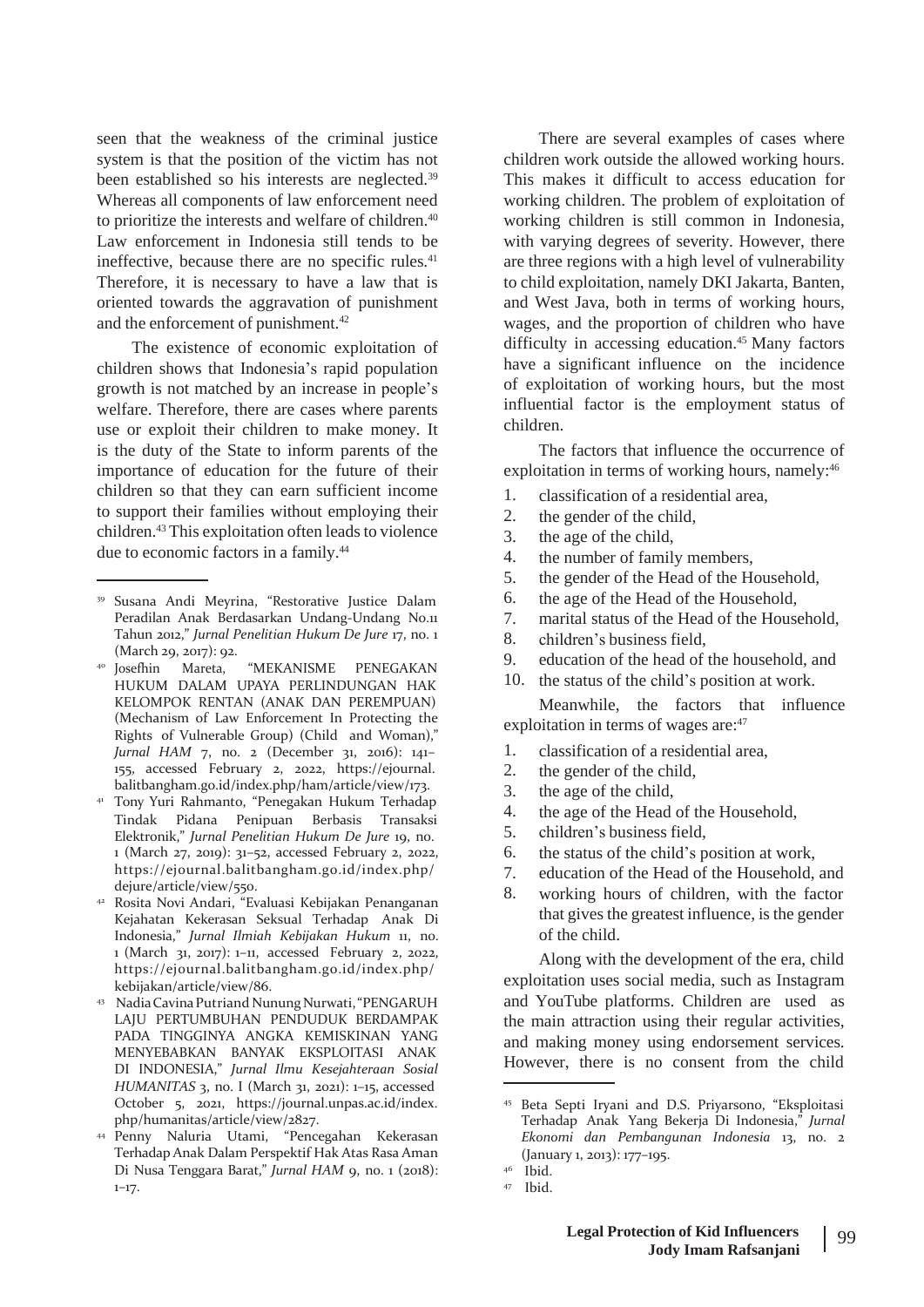seen that the weakness of the criminal justice system is that the position of the victim has not been established so his interests are neglected.<sup>39</sup> Whereas all components of law enforcement need to prioritize the interests and welfare of children.<sup>40</sup> Law enforcement in Indonesia still tends to be ineffective, because there are no specific rules.<sup>41</sup> Therefore, it is necessary to have a law that is oriented towards the aggravation of punishment and the enforcement of punishment.<sup>42</sup>

The existence of economic exploitation of children shows that Indonesia's rapid population growth is not matched by an increase in people's welfare. Therefore, there are cases where parents use or exploit their children to make money. It is the duty of the State to inform parents of the importance of education for the future of their children so that they can earn sufficient income to support their families without employing their children.<sup>43</sup> This exploitation often leads to violence due to economic factors in a family.<sup>44</sup>

- Rosita Novi Andari, "Evaluasi Kebijakan Penanganan 42 Kejahatan Kekerasan Seksual Terhadap Anak Di Indonesia," *Jurnal Ilmiah Kebijakan Hukum* 11, no. 1 (March 31, 2017): 1–11, accessed February 2, 2022, https://ejournal.balitbangham.go.id/index.php/ kebijakan/article/view/86.
- <sup>43</sup> Nadia Cavina Putriand Nunung Nurwati, "PENGARUH LAJU PERTUMBUHAN PENDUDUK BERDAMPAK PADA TINGGINYA ANGKA KEMISKINAN YANG MENYEBABKAN BANYAK EKSPLOITASI ANAK DI INDONESIA," *Jurnal Ilmu Kesejahteraan Sosial HUMANITAS* 3, no. I (March 31, 2021): 1–15, accessed October 5, 2021, https://journal.unpas.ac.id/index. php/humanitas/article/view/2827.
- Penny Naluria Utami, "Pencegahan Kekerasan 44 Terhadap Anak Dalam Perspektif Hak Atas Rasa Aman Di Nusa Tenggara Barat," *Jurnal HAM* 9, no. 1 (2018): 1–17.

There are several examples of cases where children work outside the allowed working hours. This makes it difficult to access education for working children. The problem of exploitation of working children is still common in Indonesia, with varying degrees of severity. However, there are three regions with a high level of vulnerability to child exploitation, namely DKI Jakarta, Banten, and West Java, both in terms of working hours, wages, and the proportion of children who have difficulty in accessing education.<sup>45</sup> Many factors have a significant influence on the incidence of exploitation of working hours, but the most influential factor is the employment status of children.

The factors that influence the occurrence of exploitation in terms of working hours, namely:<sup>46</sup>

- 1. classification of a residential area,
- 2. the gender of the child,
- 3. the age of the child,
- 4. the number of family members,
- 5. the gender of the Head of the Household,
- 6. the age of the Head of the Household,
- 7. marital status of the Head of the Household,
- 8. children's business field,
- 9. education of the head of the household, and
- 10. the status of the child's position at work.

Meanwhile, the factors that influence exploitation in terms of wages are: 47

- 1. classification of a residential area,
- 2. the gender of the child,
- 3. the age of the child,
- 4. the age of the Head of the Household,
- 5. children's business field,
- 6. the status of the child's position at work,
- 7. education of the Head of the Household, and
- 8. working hours of children, with the factor that gives the greatest influence, is the gender of the child.

Along with the development of the era, child exploitation uses social media, such as Instagram and YouTube platforms. Children are used as the main attraction using their regular activities, and making money using endorsement services. However, there is no consent from the child

<sup>39</sup> Susana Andi Meyrina, "Restorative Justice Dalam Peradilan Anak Berdasarkan Undang-Undang No.11 Tahun 2012," *Jurnal Penelitian Hukum De Jure* 17, no. 1 (March 29, 2017): 92.<br><sup>40</sup> Josefhin Mareta,

Mareta, "MEKANISME PENEGAKAN HUKUM DALAM UPAYA PERLINDUNGAN HAK KELOMPOK RENTAN (ANAK DAN PEREMPUAN) (Mechanism of Law Enforcement In Protecting the Rights of Vulnerable Group) (Child and Woman)," *Jurnal HAM* 7, no. 2 (December 31, 2016): 141– 155, accessed February 2, 2022, https://ejournal. balitbangham.go.id/index.php/ham/article/view/173.

Tony Yuri Rahmanto, "Penegakan Hukum Terhadap 41 Tindak Pidana Penipuan Berbasis Transaksi Elektronik," *Jurnal Penelitian Hukum De Jure* 19, no. 1 (March 27, 2019): 31–52, accessed February 2, 2022, https://ejournal.balitbangham.go.id/index.php/ dejure/article/view/550.

<sup>45</sup> Beta Septi Iryani and D.S. Priyarsono, "Eksploitasi Terhadap Anak Yang Bekerja Di Indonesia," *Jurnal Ekonomi dan Pembangunan Indonesia* 13, no. 2 (January 1, 2013): 177–195.

 $46$  Ibid.

Ibid. 47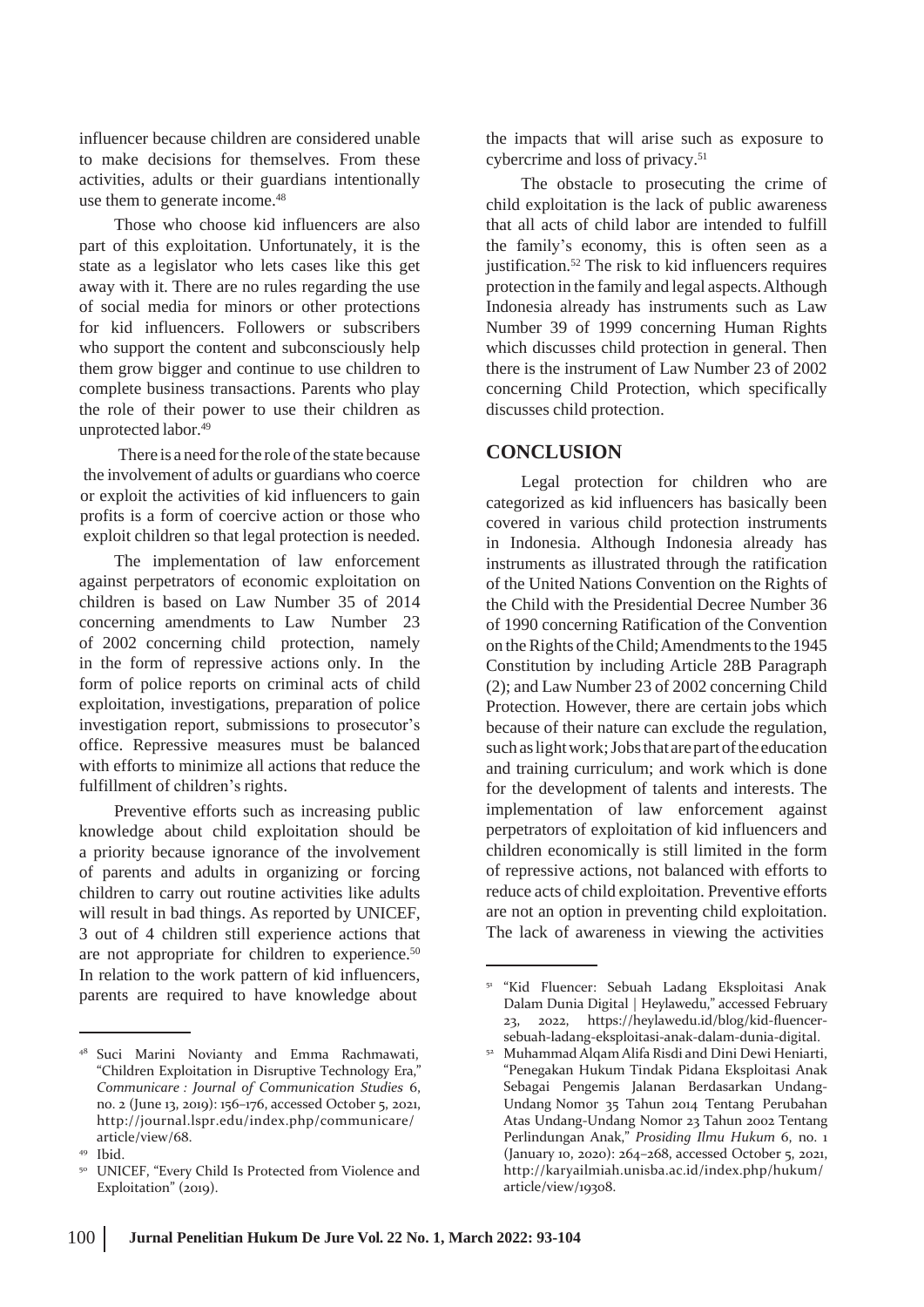influencer because children are considered unable to make decisions for themselves. From these activities, adults or their guardians intentionally use them to generate income.<sup>48</sup>

Those who choose kid influencers are also part of this exploitation. Unfortunately, it is the state as a legislator who lets cases like this get away with it. There are no rules regarding the use of social media for minors or other protections for kid influencers. Followers or subscribers who support the content and subconsciously help them grow bigger and continue to use children to complete business transactions. Parents who play the role of their power to use their children as unprotected labor.<sup>49</sup>

There is a need for the role of the state because the involvement of adults or guardians who coerce or exploit the activities of kid influencers to gain profits is a form of coercive action or those who exploit children so that legal protection is needed.

The implementation of law enforcement against perpetrators of economic exploitation on children is based on Law Number 35 of 2014 concerning amendments to Law Number 23 of 2002 concerning child protection, namely in the form of repressive actions only. In the form of police reports on criminal acts of child exploitation, investigations, preparation of police investigation report, submissions to prosecutor's office. Repressive measures must be balanced with efforts to minimize all actions that reduce the fulfillment of children's rights.

Preventive efforts such as increasing public knowledge about child exploitation should be a priority because ignorance of the involvement of parents and adults in organizing or forcing children to carry out routine activities like adults will result in bad things. As reported by UNICEF, 3 out of 4 children still experience actions that are not appropriate for children to experience.<sup>50</sup> In relation to the work pattern of kid influencers, parents are required to have knowledge about

the impacts that will arise such as exposure to cybercrime and loss of privacy.<sup>51</sup>

The obstacle to prosecuting the crime of child exploitation is the lack of public awareness that all acts of child labor are intended to fulfill the family's economy, this is often seen as a justification.<sup>52</sup> The risk to kid influencers requires protection in the family and legal aspects.Although Indonesia already has instruments such as Law Number 39 of 1999 concerning Human Rights which discusses child protection in general. Then there is the instrument of Law Number 23 of 2002 concerning Child Protection, which specifically discusses child protection.

## **CONCLUSION**

Legal protection for children who are categorized as kid influencers has basically been covered in various child protection instruments in Indonesia. Although Indonesia already has instruments as illustrated through the ratification of the United Nations Convention on the Rights of the Child with the Presidential Decree Number 36 of 1990 concerning Ratification of the Convention on the Rights of the Child; Amendments to the 1945 Constitution by including Article 28B Paragraph (2); and Law Number 23 of 2002 concerning Child Protection. However, there are certain jobs which because of their nature can exclude the regulation, such as light work; Jobs that are part of the education and training curriculum; and work which is done for the development of talents and interests. The implementation of law enforcement against perpetrators of exploitation of kid influencers and children economically is still limited in the form of repressive actions, not balanced with efforts to reduce acts of child exploitation. Preventive efforts are not an option in preventing child exploitation. The lack of awareness in viewing the activities

<sup>48</sup> Suci Marini Novianty and Emma Rachmawati, "Children Exploitation in Disruptive Technology Era," *Communicare : Journal of Communication Studies* 6, no. 2 (June 13, 2019): 156–176, accessed October 5, 2021, <http://journal.lspr.edu/index.php/communicare/> article/view/68.

<sup>&</sup>lt;sup>49</sup> Ibid.

<sup>&</sup>lt;sup>50</sup> UNICEF, "Every Child Is Protected from Violence and Exploitation" (2019).

<sup>&</sup>lt;sup>51</sup> "Kid Fluencer: Sebuah Ladang Eksploitasi Anak Dalam Dunia Digital | Heylawedu," accessed February 23, 2022, https://heylawedu.id/blog/kid-fluencersebuah-ladang-eksploitasi-anak-dalam-dunia-digital.

Muhammad Alqam Alifa Risdi and Dini Dewi Heniarti, 52 "Penegakan Hukum Tindak Pidana Eksploitasi Anak Sebagai Pengemis Jalanan Berdasarkan Undang-Undang Nomor 35 Tahun 2014 Tentang Perubahan Atas Undang-Undang Nomor 23 Tahun 2002 Tentang Perlindungan Anak," *Prosiding Ilmu Hukum* 6, no. 1 (January 10, 2020): 264–268, accessed October 5, 202[1,](http://karyailmiah.unisba.ac.id/index.php/hukum/) <http://karyailmiah.unisba.ac.id/index.php/hukum/> article/view/19308.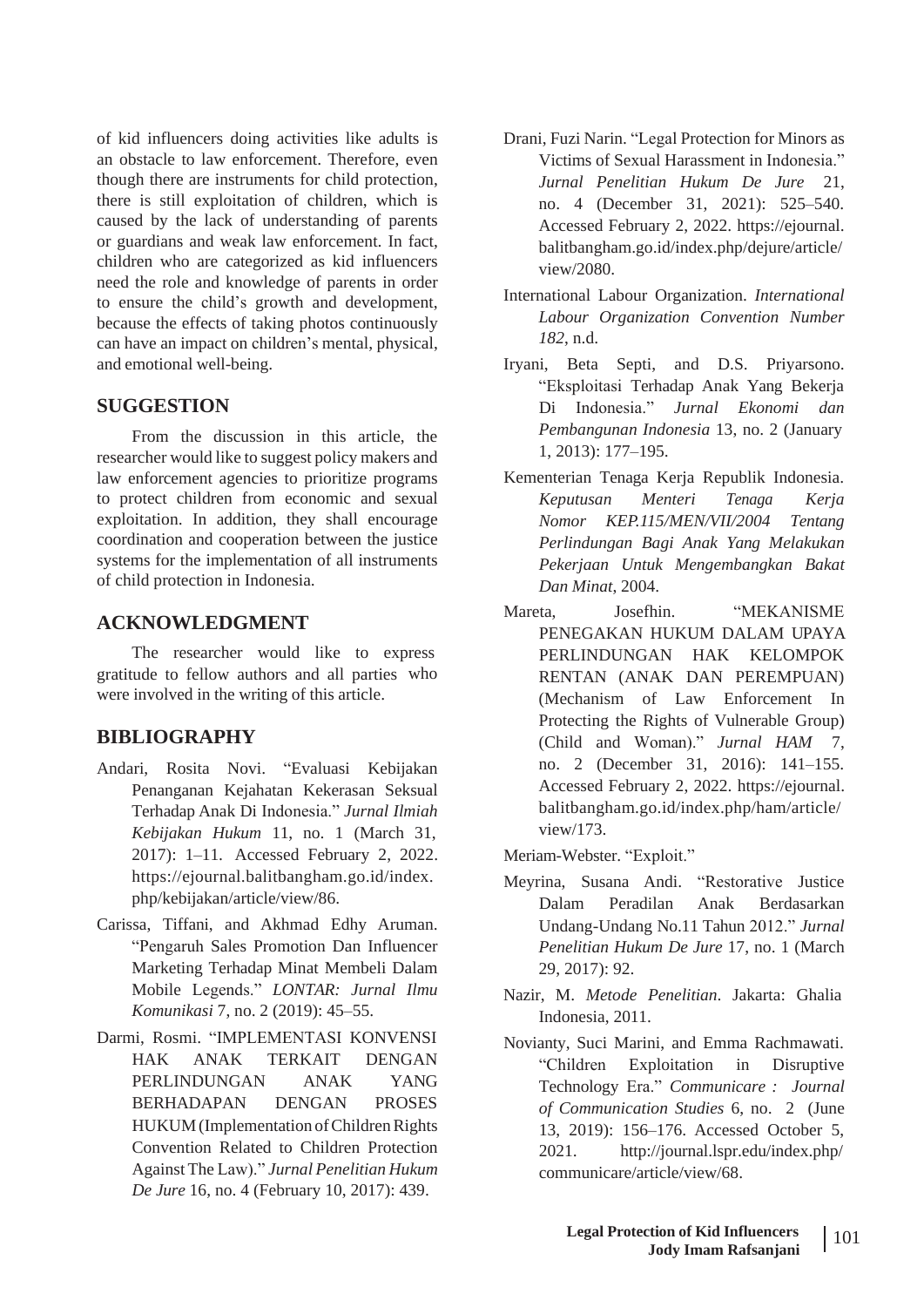of kid influencers doing activities like adults is an obstacle to law enforcement. Therefore, even though there are instruments for child protection, there is still exploitation of children, which is caused by the lack of understanding of parents or guardians and weak law enforcement. In fact, children who are categorized as kid influencers need the role and knowledge of parents in order to ensure the child's growth and development, because the effects of taking photos continuously can have an impact on children's mental, physical, and emotional well-being.

## **SUGGESTION**

From the discussion in this article, the researcher would like to suggest policy makers and law enforcement agencies to prioritize programs to protect children from economic and sexual exploitation. In addition, they shall encourage coordination and cooperation between the justice systems for the implementation of all instruments of child protection in Indonesia.

The researcher would like to express gratitude to fellow authors and all parties were involved in the writing of this article.

# **BIBLIOGRAPHY**

- Andari, Rosita Novi. "Evaluasi Kebijakan Penanganan Kejahatan Kekerasan Seksual Terhadap Anak Di Indonesia." *Jurnal Ilmiah Kebijakan Hukum* 11, no. 1 (March 31, 2017): 1–11. Accessed February 2, 2022. https://ejournal.balitbangham.go.id/index. php/kebijakan/article/view/86.
- Carissa, Tiffani, and Akhmad Edhy Aruman. "Pengaruh Sales Promotion Dan Influencer Marketing Terhadap Minat Membeli Dalam Mobile Legends." *LONTAR: Jurnal Ilmu Komunikasi* 7, no. 2 (2019): 45–55.
- Darmi, Rosmi. "IMPLEMENTASI KONVENSI HAK ANAK TERKAIT DENGAN YANG PROSES BERHADAPAN HUKUM (Implementation of Children Rights Convention Related to Children Protection Against The Law)." *Jurnal Penelitian Hukum De Jure* 16, no. 4 (February 10, 2017): 439.
- Drani, Fuzi Narin. "Legal Protection for Minors as Victims of Sexual Harassment in Indonesia." *Jurnal Penelitian Hukum De Jure* 21, no. 4 (December 31, 2021): 525–540. Accessed February 2, 2022. https://ejournal. balitbangham.go.id/index.php/dejure/article/ view/2080.
- International Labour Organization. *International Labour Organization Convention Number 182*, n.d.
- Iryani, Beta Septi, and D.S. Priyarsono. "Eksploitasi Terhadap Anak Yang Bekerja Di Indonesia." *Jurnal Ekonomi dan Pembangunan Indonesia* 13, no. 2 (January 1, 2013): 177–195.
- Kementerian Tenaga Kerja Republik Indonesia. *Keputusan Menteri Tenaga Kerja Nomor KEP.115/MEN/VII/2004 Tentang Perlindungan Bagi Anak Yang Melakukan Pekerjaan Untuk Mengembangkan Bakat Dan Minat*, 2004.
- ACKNOWLEDGMENT Mareta, Josefhin. "MEKANISME PENEGAKAN HUKUM DALAM UPAYA PERLINDUNGAN HAK KELOMPOK RENTAN (ANAK DAN PEREMPUAN) (Mechanism of Law Enforcement In Protecting the Rights of Vulnerable Group) (Child and Woman)." *Jurnal HAM* 7, no. 2 (December 31, 2016): 141–155. Accessed February 2, 2022. https://ejournal. balitbangham.go.id/index.php/ham/article/ view/173.
	- Meriam-Webster. "Exploit."
	- Meyrina, Susana Andi. "Restorative Justice Dalam Peradilan Anak Berdasarkan Undang-Undang No.11 Tahun 2012." *Jurnal Penelitian Hukum De Jure* 17, no. 1 (March 29, 2017): 92.
	- Nazir, M. *Metode Penelitian*. Jakarta: Ghalia Indonesia, 2011.
	- Novianty, Suci Marini, and Emma Rachmawati. "Children Exploitation in Disruptive PERLINDUNGAN ANAK Technology Era." *Communicare : Journal of Communication Studies* 6, no. 2 (June 13, 2019): 156–176. Accessed October 5, 2021. <http://journal.lspr.edu/index.php/> communicare/article/view/68.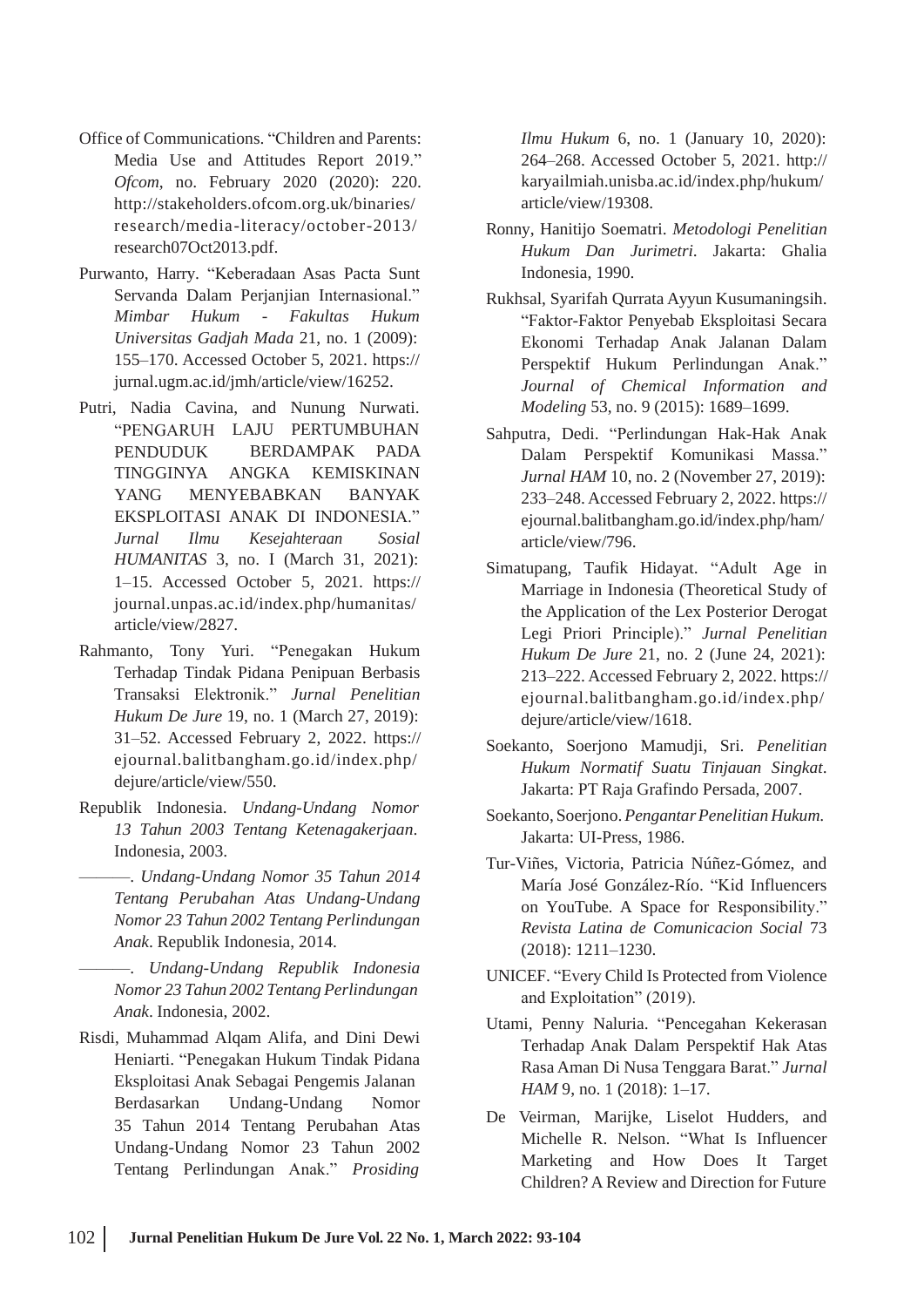- Office of Communications. "Children and Parents: Media Use and Attitudes Report 2019." *Ofcom*, no. February 2020 (2020): 220. <http://stakeholders.ofcom.org.uk/binaries/> research/media-literacy/october-2013/ research07Oct2013.pdf.
- Purwanto, Harry. "Keberadaan Asas Pacta Sunt Servanda Dalam Perjanjian Internasional." *Mimbar Hukum - Fakultas Hukum Universitas Gadjah Mada* 21, no. 1 (2009): 155–170. Accessed October 5, 2021. https:// jurnal.ugm.ac.id/jmh/article/view/16252.
- Putri, Nadia Cavina, and Nunung Nurwati. "PENGARUH LAJU PERTUMBUHAN PENDUDUK TINGGINYA BERDAMPAK PADA ANGKA KEMISKINAN YANG MENYEBABKAN BANYAK EKSPLOITASI ANAK DI INDONESIA." *Jurnal Ilmu Kesejahteraan Sosial HUMANITAS* 3, no. I (March 31, 2021): 1–15. Accessed October 5, 2021. https:// journal.unpas.ac.id/index.php/humanitas/ article/view/2827.
- Rahmanto, Tony Yuri. "Penegakan Hukum Terhadap Tindak Pidana Penipuan Berbasis Transaksi Elektronik." *Jurnal Penelitian Hukum De Jure* 19, no. 1 (March 27, 2019): 31–52. Accessed February 2, 2022. https:// ejournal.balitbangham.go.id/index.php/ dejure/article/view/550.
- Republik Indonesia. *Undang-Undang Nomor 13 Tahun 2003 Tentang Ketenagakerjaan*. Indonesia, 2003.
- ———. *Undang-Undang Nomor 35 Tahun 2014 Tentang Perubahan Atas Undang-Undang Nomor 23 Tahun 2002 Tentang Perlindungan Anak*. Republik Indonesia, 2014.
- ———. *Undang-Undang Republik Indonesia Nomor 23 Tahun 2002 Tentang Perlindungan Anak*. Indonesia, 2002.
- Risdi, Muhammad Alqam Alifa, and Dini Dewi Heniarti. "Penegakan Hukum Tindak Pidana Eksploitasi Anak Sebagai Pengemis Jalanan Berdasarkan Undang-Undang Nomor 35 Tahun 2014 Tentang Perubahan Atas Undang-Undang Nomor 23 Tahun 2002 Tentang Perlindungan Anak." *Prosiding*

*Ilmu Hukum* 6, no. 1 (January 10, 2020): 264–268. Accessed October 5, 2021. http:// karyailmiah.unisba.ac.id/index.php/hukum/ article/view/19308.

- Ronny, Hanitijo Soematri. *Metodologi Penelitian Hukum Dan Jurimetri*. Jakarta: Ghalia Indonesia, 1990.
- Rukhsal, Syarifah Qurrata Ayyun Kusumaningsih. "Faktor-Faktor Penyebab Eksploitasi Secara Ekonomi Terhadap Anak Jalanan Dalam Perspektif Hukum Perlindungan Anak." *Journal of Chemical Information and Modeling* 53, no. 9 (2015): 1689–1699.
- Sahputra, Dedi. "Perlindungan Hak-Hak Anak Dalam Perspektif Komunikasi Massa." *Jurnal HAM* 10, no. 2 (November 27, 2019): 233–248. Accessed February 2, 2022. https:// ejournal.balitbangham.go.id/index.php/ham/ article/view/796.
- Simatupang, Taufik Hidayat. "Adult Age in Marriage in Indonesia (Theoretical Study of the Application of the Lex Posterior Derogat Legi Priori Principle)." *Jurnal Penelitian Hukum De Jure* 21, no. 2 (June 24, 2021): 213–222. Accessed February 2, 2022. https:// ejournal.balitbangham.go.id/index.php/ dejure/article/view/1618.
- Soekanto, Soerjono Mamudji, Sri. *Penelitian Hukum Normatif Suatu Tinjauan Singkat*. Jakarta: PT Raja Grafindo Persada, 2007.
- Soekanto, Soerjono.*PengantarPenelitian Hukum*. Jakarta: UI-Press, 1986.
- Tur-Viñes, Victoria, Patricia Núñez-Gómez, and María José González-Río. "Kid Influencers on YouTube. A Space for Responsibility." *Revista Latina de Comunicacion Social* 73 (2018): 1211–1230.
- UNICEF. "Every Child Is Protected from Violence and Exploitation" (2019).
- Utami, Penny Naluria. "Pencegahan Kekerasan Terhadap Anak Dalam Perspektif Hak Atas Rasa Aman Di Nusa Tenggara Barat." *Jurnal HAM* 9, no. 1 (2018): 1-17.
- De Veirman, Marijke, Liselot Hudders, and Michelle R. Nelson. "What Is Influencer Marketing and How Does It Target Children? A Review and Direction for Future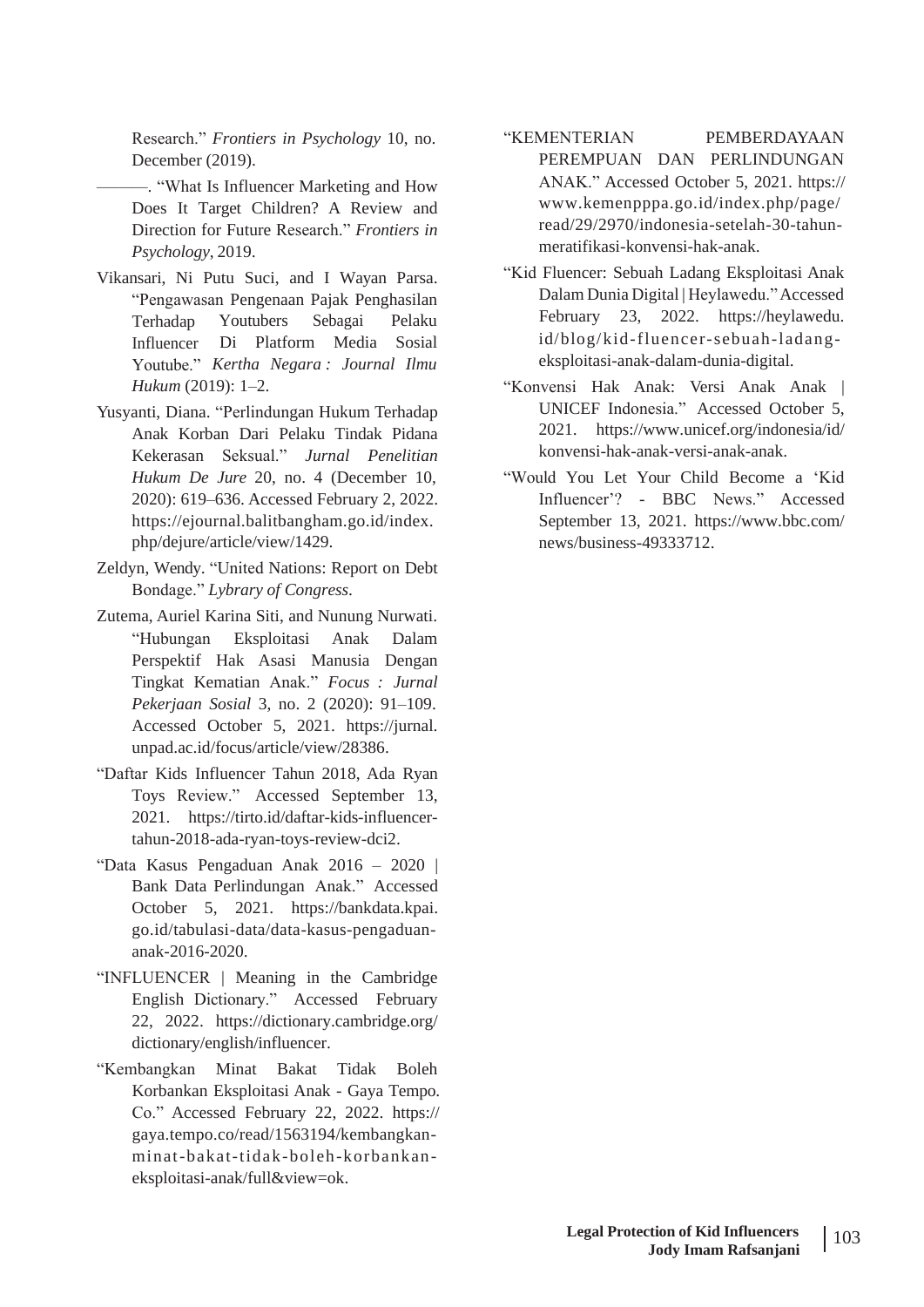Research." *Frontiers in Psychology* 10, no. December (2019).

- ———. "What Is Influencer Marketing and How Does It Target Children? A Review and Direction for Future Research." *Frontiers in Psychology*, 2019.
- Vikansari, Ni Putu Suci, and I Wayan Parsa. "Pengawasan Pengenaan Pajak Penghasilan Influencer Di Platform Media Sosial Youtube." *Kertha Negara : Journal Ilmu* Youtubers *Hukum* (2019): 1–2.
- Yusyanti, Diana. "Perlindungan Hukum Terhadap Anak Korban Dari Pelaku Tindak Pidana Kekerasan Seksual." *Jurnal Penelitian Hukum De Jure* 20, no. 4 (December 10, 2020): 619–636. Accessed February 2, 2022. https://ejournal.balitbangham.go.id/index. php/dejure/article/view/1429.
- Zeldyn, Wendy. "United Nations: Report on Debt Bondage." *Lybrary of Congress*.
- Zutema, Auriel Karina Siti, and Nunung Nurwati. "Hubungan Eksploitasi Anak Dalam Perspektif Hak Asasi Manusia Dengan Tingkat Kematian Anak." *Focus : Jurnal Pekerjaan Sosial* 3, no. 2 (2020): 91–109. Accessed October 5, 2021. https://jurnal. unpad.ac.id/focus/article/view/28386.
- "Daftar Kids Influencer Tahun 2018, Ada Ryan Toys Review." Accessed September 13, 2021. https://tirto.id/daftar-kids-influencertahun-2018-ada-ryan-toys-review-dci2.
- "Data Kasus Pengaduan Anak 2016 2020 | Bank Data Perlindungan Anak." Accessed October 5, 2021. https://bankdata.kpai. go.id/tabulasi-data/data-kasus-pengaduananak-2016-2020.
- "INFLUENCER | Meaning in the Cambridge English Dictionary." Accessed February 22, 2022. https://dictionary.cambridge.org/ dictionary/english/influencer.
- "Kembangkan Minat Bakat Tidak Boleh Korbankan Eksploitasi Anak - Gaya Tempo. Co." Accessed February 22, 2022. https:// gaya.tempo.co/read/1563194/kembangkanminat-bakat-tidak-boleh-korbankaneksploitasi-anak/full&view=ok.
- "KEMENTERIAN PEMBERDAYAAN PEREMPUAN DAN PERLINDUNGAN ANAK." Accessed October 5, 2021. https:// [www.kemenpppa.go.id/index.php/page/](http://www.kemenpppa.go.id/index.php/page/) read/29/2970/indonesia-setelah-30-tahunmeratifikasi-konvensi-hak-anak.
- "Kid Fluencer: Sebuah Ladang Eksploitasi Anak Dalam Dunia Digital | Heylawedu."Accessed Terhadap Youtubers Sebagai Pelaku February 23, 2022. https://heylawedu. id/blog/kid-fluencer-sebuah-ladangeksploitasi-anak-dalam-dunia-digital.
	- "Konvensi Hak Anak: Versi Anak Anak | UNICEF Indonesia." Accessed October 5, 2021. [https://www.unicef.org/indonesia/id/](http://www.unicef.org/indonesia/id/) konvensi-hak-anak-versi-anak-anak.
	- "Would You Let Your Child Become a 'Kid Influencer'? - BBC News." Accessed September 13, 2021. [https://www.bbc.com/](http://www.bbc.com/) news/business-49333712.